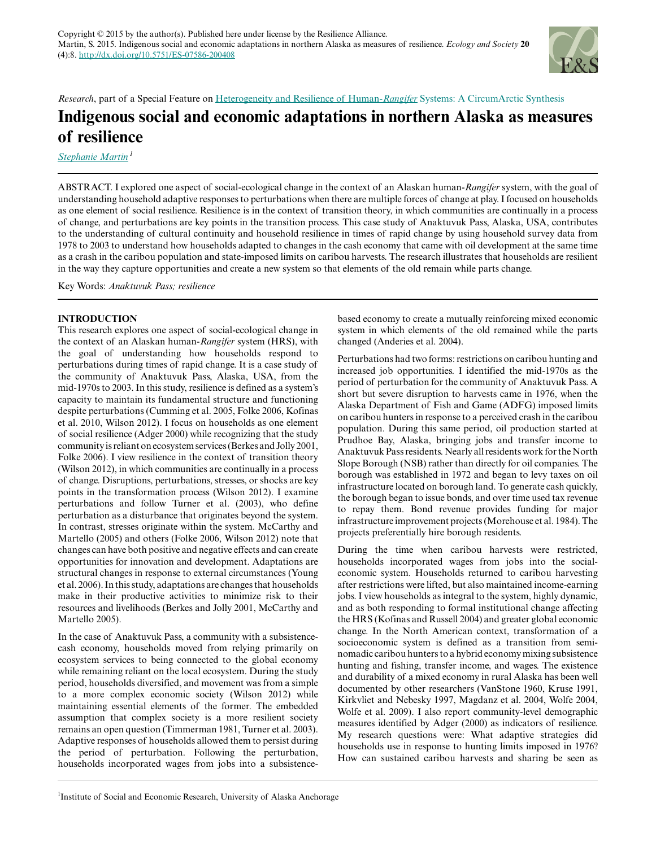

*Research*, part of a Special Feature on [Heterogeneity and Resilience of Human-](http://www.ecologyandsociety.org/viewissue.php?sf=58)*[Rangifer](http://www.ecologyandsociety.org/viewissue.php?sf=58)* [Systems: A CircumArctic Synthesis](http://www.ecologyandsociety.org/viewissue.php?sf=58)

# **Indigenous social and economic adaptations in northern Alaska as measures of resilience**

*[Stephanie Martin](mailto:slmartinak@gmail.com)<sup>1</sup>*

ABSTRACT. I explored one aspect of social-ecological change in the context of an Alaskan human-*Rangifer* system, with the goal of understanding household adaptive responses to perturbations when there are multiple forces of change at play. I focused on households as one element of social resilience. Resilience is in the context of transition theory, in which communities are continually in a process of change, and perturbations are key points in the transition process. This case study of Anaktuvuk Pass, Alaska, USA, contributes to the understanding of cultural continuity and household resilience in times of rapid change by using household survey data from 1978 to 2003 to understand how households adapted to changes in the cash economy that came with oil development at the same time as a crash in the caribou population and state-imposed limits on caribou harvests. The research illustrates that households are resilient in the way they capture opportunities and create a new system so that elements of the old remain while parts change.

Key Words: *Anaktuvuk Pass; resilience*

# **INTRODUCTION**

This research explores one aspect of social-ecological change in the context of an Alaskan human-*Rangifer* system (HRS), with the goal of understanding how households respond to perturbations during times of rapid change. It is a case study of the community of Anaktuvuk Pass, Alaska, USA, from the mid-1970s to 2003. In this study, resilience is defined as a system's capacity to maintain its fundamental structure and functioning despite perturbations (Cumming et al. 2005, Folke 2006, Kofinas et al. 2010, Wilson 2012). I focus on households as one element of social resilience (Adger 2000) while recognizing that the study community is reliant on ecosystem services (Berkes and Jolly 2001, Folke 2006). I view resilience in the context of transition theory (Wilson 2012), in which communities are continually in a process of change. Disruptions, perturbations, stresses, or shocks are key points in the transformation process (Wilson 2012). I examine perturbations and follow Turner et al. (2003), who define perturbation as a disturbance that originates beyond the system. In contrast, stresses originate within the system. McCarthy and Martello (2005) and others (Folke 2006, Wilson 2012) note that changes can have both positive and negative effects and can create opportunities for innovation and development. Adaptations are structural changes in response to external circumstances (Young et al. 2006). In this study, adaptations are changes that households make in their productive activities to minimize risk to their resources and livelihoods (Berkes and Jolly 2001, McCarthy and Martello 2005).

In the case of Anaktuvuk Pass, a community with a subsistencecash economy, households moved from relying primarily on ecosystem services to being connected to the global economy while remaining reliant on the local ecosystem. During the study period, households diversified, and movement was from a simple to a more complex economic society (Wilson 2012) while maintaining essential elements of the former. The embedded assumption that complex society is a more resilient society remains an open question (Timmerman 1981, Turner et al. 2003). Adaptive responses of households allowed them to persist during the period of perturbation. Following the perturbation, households incorporated wages from jobs into a subsistencebased economy to create a mutually reinforcing mixed economic system in which elements of the old remained while the parts changed (Anderies et al. 2004).

Perturbations had two forms: restrictions on caribou hunting and increased job opportunities. I identified the mid-1970s as the period of perturbation for the community of Anaktuvuk Pass. A short but severe disruption to harvests came in 1976, when the Alaska Department of Fish and Game (ADFG) imposed limits on caribou hunters in response to a perceived crash in the caribou population. During this same period, oil production started at Prudhoe Bay, Alaska, bringing jobs and transfer income to Anaktuvuk Pass residents. Nearly all residents work for the North Slope Borough (NSB) rather than directly for oil companies. The borough was established in 1972 and began to levy taxes on oil infrastructure located on borough land. To generate cash quickly, the borough began to issue bonds, and over time used tax revenue to repay them. Bond revenue provides funding for major infrastructure improvement projects (Morehouse et al. 1984). The projects preferentially hire borough residents.

During the time when caribou harvests were restricted, households incorporated wages from jobs into the socialeconomic system. Households returned to caribou harvesting after restrictions were lifted, but also maintained income-earning jobs. I view households as integral to the system, highly dynamic, and as both responding to formal institutional change affecting the HRS (Kofinas and Russell 2004) and greater global economic change. In the North American context, transformation of a socioeconomic system is defined as a transition from seminomadic caribou hunters to a hybrid economy mixing subsistence hunting and fishing, transfer income, and wages. The existence and durability of a mixed economy in rural Alaska has been well documented by other researchers (VanStone 1960, Kruse 1991, Kirkvliet and Nebesky 1997, Magdanz et al. 2004, Wolfe 2004, Wolfe et al. 2009). I also report community-level demographic measures identified by Adger (2000) as indicators of resilience. My research questions were: What adaptive strategies did households use in response to hunting limits imposed in 1976? How can sustained caribou harvests and sharing be seen as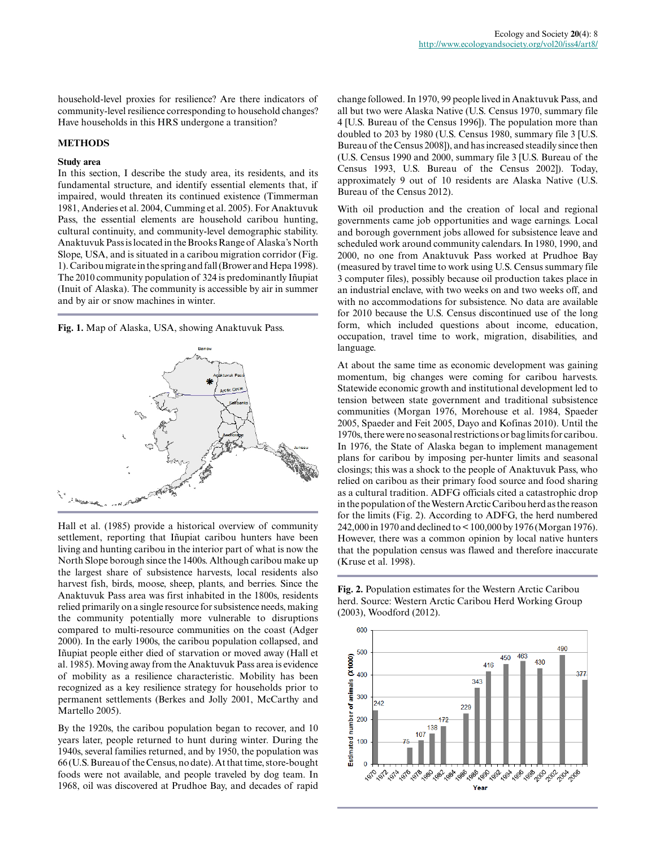household-level proxies for resilience? Are there indicators of community-level resilience corresponding to household changes? Have households in this HRS undergone a transition?

#### **METHODS**

# **Study area**

In this section, I describe the study area, its residents, and its fundamental structure, and identify essential elements that, if impaired, would threaten its continued existence (Timmerman 1981, Anderies et al. 2004, Cumming et al. 2005). For Anaktuvuk Pass, the essential elements are household caribou hunting, cultural continuity, and community-level demographic stability. Anaktuvuk Pass is located in the Brooks Range of Alaska's North Slope, USA, and is situated in a caribou migration corridor (Fig. 1). Caribou migrate in the spring and fall (Brower and Hepa 1998). The 2010 community population of 324 is predominantly Iñupiat (Inuit of Alaska). The community is accessible by air in summer and by air or snow machines in winter.

**Fig. 1.** Map of Alaska, USA, showing Anaktuvuk Pass.



Hall et al. (1985) provide a historical overview of community settlement, reporting that Iñupiat caribou hunters have been living and hunting caribou in the interior part of what is now the North Slope borough since the 1400s. Although caribou make up the largest share of subsistence harvests, local residents also harvest fish, birds, moose, sheep, plants, and berries. Since the Anaktuvuk Pass area was first inhabited in the 1800s, residents relied primarily on a single resource for subsistence needs, making the community potentially more vulnerable to disruptions compared to multi-resource communities on the coast (Adger 2000). In the early 1900s, the caribou population collapsed, and Iñupiat people either died of starvation or moved away (Hall et al. 1985). Moving away from the Anaktuvuk Pass area is evidence of mobility as a resilience characteristic. Mobility has been recognized as a key resilience strategy for households prior to permanent settlements (Berkes and Jolly 2001, McCarthy and Martello 2005).

By the 1920s, the caribou population began to recover, and 10 years later, people returned to hunt during winter. During the 1940s, several families returned, and by 1950, the population was 66 (U.S. Bureau of the Census, no date). At that time, store-bought foods were not available, and people traveled by dog team. In 1968, oil was discovered at Prudhoe Bay, and decades of rapid change followed. In 1970, 99 people lived in Anaktuvuk Pass, and all but two were Alaska Native (U.S. Census 1970, summary file 4 [U.S. Bureau of the Census 1996]). The population more than doubled to 203 by 1980 (U.S. Census 1980, summary file 3 [U.S. Bureau of the Census 2008]), and has increased steadily since then (U.S. Census 1990 and 2000, summary file 3 [U.S. Bureau of the Census 1993, U.S. Bureau of the Census 2002]). Today, approximately 9 out of 10 residents are Alaska Native (U.S. Bureau of the Census 2012).

With oil production and the creation of local and regional governments came job opportunities and wage earnings. Local and borough government jobs allowed for subsistence leave and scheduled work around community calendars. In 1980, 1990, and 2000, no one from Anaktuvuk Pass worked at Prudhoe Bay (measured by travel time to work using U.S. Census summary file 3 computer files), possibly because oil production takes place in an industrial enclave, with two weeks on and two weeks off, and with no accommodations for subsistence. No data are available for 2010 because the U.S. Census discontinued use of the long form, which included questions about income, education, occupation, travel time to work, migration, disabilities, and language.

At about the same time as economic development was gaining momentum, big changes were coming for caribou harvests. Statewide economic growth and institutional development led to tension between state government and traditional subsistence communities (Morgan 1976, Morehouse et al. 1984, Spaeder 2005, Spaeder and Feit 2005, Dayo and Kofinas 2010). Until the 1970s, there were no seasonal restrictions or bag limits for caribou. In 1976, the State of Alaska began to implement management plans for caribou by imposing per-hunter limits and seasonal closings; this was a shock to the people of Anaktuvuk Pass, who relied on caribou as their primary food source and food sharing as a cultural tradition. ADFG officials cited a catastrophic drop in the population of the Western Arctic Caribou herd as the reason for the limits (Fig. 2). According to ADFG, the herd numbered 242,000 in 1970 and declined to < 100,000 by 1976 (Morgan 1976). However, there was a common opinion by local native hunters that the population census was flawed and therefore inaccurate (Kruse et al. 1998).

**Fig. 2.** Population estimates for the Western Arctic Caribou herd. Source: Western Arctic Caribou Herd Working Group (2003), Woodford (2012).

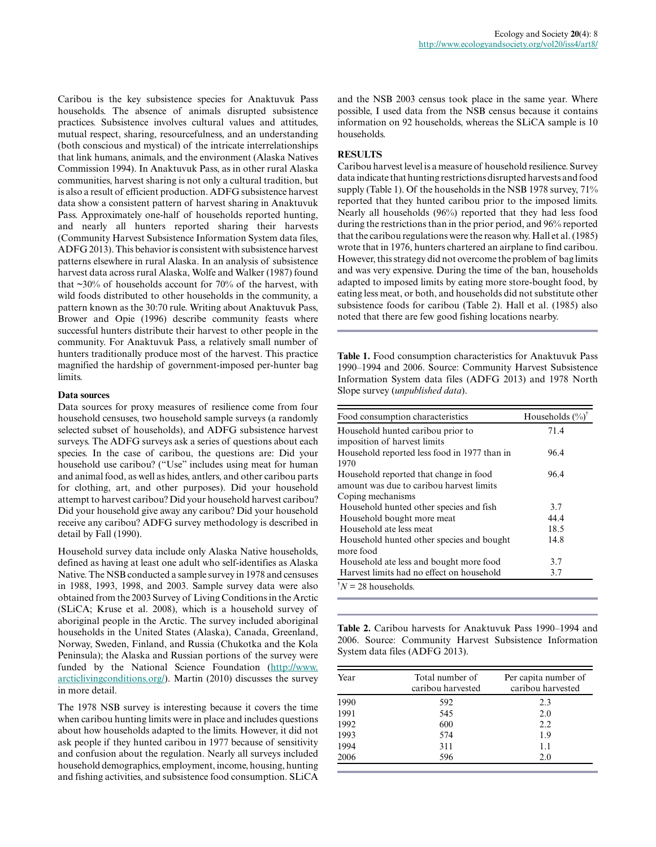Ecology and Society **20**(4): 8

Caribou is the key subsistence species for Anaktuvuk Pass households. The absence of animals disrupted subsistence practices. Subsistence involves cultural values and attitudes, mutual respect, sharing, resourcefulness, and an understanding (both conscious and mystical) of the intricate interrelationships that link humans, animals, and the environment (Alaska Natives Commission 1994). In Anaktuvuk Pass, as in other rural Alaska communities, harvest sharing is not only a cultural tradition, but is also a result of efficient production. ADFG subsistence harvest data show a consistent pattern of harvest sharing in Anaktuvuk Pass. Approximately one-half of households reported hunting, and nearly all hunters reported sharing their harvests (Community Harvest Subsistence Information System data files, ADFG 2013). This behavior is consistent with subsistence harvest patterns elsewhere in rural Alaska. In an analysis of subsistence harvest data across rural Alaska, Wolfe and Walker (1987) found that  $\sim$ 30% of households account for 70% of the harvest, with wild foods distributed to other households in the community, a pattern known as the 30:70 rule. Writing about Anaktuvuk Pass, Brower and Opie (1996) describe community feasts where successful hunters distribute their harvest to other people in the community. For Anaktuvuk Pass, a relatively small number of hunters traditionally produce most of the harvest. This practice magnified the hardship of government-imposed per-hunter bag limits.

# **Data sources**

Data sources for proxy measures of resilience come from four household censuses, two household sample surveys (a randomly selected subset of households), and ADFG subsistence harvest surveys. The ADFG surveys ask a series of questions about each species. In the case of caribou, the questions are: Did your household use caribou? ("Use" includes using meat for human and animal food, as well as hides, antlers, and other caribou parts for clothing, art, and other purposes). Did your household attempt to harvest caribou? Did your household harvest caribou? Did your household give away any caribou? Did your household receive any caribou? ADFG survey methodology is described in detail by Fall (1990).

Household survey data include only Alaska Native households, defined as having at least one adult who self-identifies as Alaska Native. The NSB conducted a sample survey in 1978 and censuses in 1988, 1993, 1998, and 2003. Sample survey data were also obtained from the 2003 Survey of Living Conditions in the Arctic (SLiCA; Kruse et al. 2008), which is a household survey of aboriginal people in the Arctic. The survey included aboriginal households in the United States (Alaska), Canada, Greenland, Norway, Sweden, Finland, and Russia (Chukotka and the Kola Peninsula); the Alaska and Russian portions of the survey were funded by the National Science Foundation ([http://www.](http://www.arcticlivingconditions.org/) [arcticlivingconditions.org/\)](http://www.arcticlivingconditions.org/). Martin (2010) discusses the survey in more detail.

The 1978 NSB survey is interesting because it covers the time when caribou hunting limits were in place and includes questions about how households adapted to the limits. However, it did not ask people if they hunted caribou in 1977 because of sensitivity and confusion about the regulation. Nearly all surveys included household demographics, employment, income, housing, hunting and fishing activities, and subsistence food consumption. SLiCA

and the NSB 2003 census took place in the same year. Where possible, I used data from the NSB census because it contains information on 92 households, whereas the SLiCA sample is 10 households.

# **RESULTS**

Caribou harvest level is a measure of household resilience. Survey data indicate that hunting restrictions disrupted harvests and food supply (Table 1). Of the households in the NSB 1978 survey,  $71\%$ reported that they hunted caribou prior to the imposed limits. Nearly all households (96%) reported that they had less food during the restrictions than in the prior period, and 96% reported that the caribou regulations were the reason why. Hall et al. (1985) wrote that in 1976, hunters chartered an airplane to find caribou. However, this strategy did not overcome the problem of bag limits and was very expensive. During the time of the ban, households adapted to imposed limits by eating more store-bought food, by eating less meat, or both, and households did not substitute other subsistence foods for caribou (Table 2). Hall et al. (1985) also noted that there are few good fishing locations nearby.

**Table 1.** Food consumption characteristics for Anaktuvuk Pass 1990–1994 and 2006. Source: Community Harvest Subsistence Information System data files (ADFG 2013) and 1978 North Slope survey (*unpublished data*).

| Food consumption characteristics             | Households $(\%)^{\dagger}$ |
|----------------------------------------------|-----------------------------|
| Household hunted caribou prior to            | 71.4                        |
| imposition of harvest limits                 |                             |
| Household reported less food in 1977 than in | 96.4                        |
| 1970                                         |                             |
| Household reported that change in food       | 96.4                        |
| amount was due to caribou harvest limits     |                             |
| Coping mechanisms                            |                             |
| Household hunted other species and fish      | 3.7                         |
| Household bought more meat                   | 44.4                        |
| Household ate less meat                      | 18.5                        |
| Household hunted other species and bought    | 14.8                        |
| more food                                    |                             |
| Household ate less and bought more food      | 3.7                         |
| Harvest limits had no effect on household    | 3.7                         |
| $N = 28$ households.                         |                             |

**Table 2.** Caribou harvests for Anaktuvuk Pass 1990–1994 and 2006. Source: Community Harvest Subsistence Information System data files (ADFG 2013).

| Year | Total number of<br>caribou harvested | Per capita number of<br>caribou harvested |
|------|--------------------------------------|-------------------------------------------|
| 1990 | 592                                  | 2.3                                       |
| 1991 | 545                                  | 2.0                                       |
| 1992 | 600                                  | 2.2                                       |
| 1993 | 574                                  | 1.9                                       |
| 1994 | 311                                  | 1.1                                       |
| 2006 | 596                                  | 2.0                                       |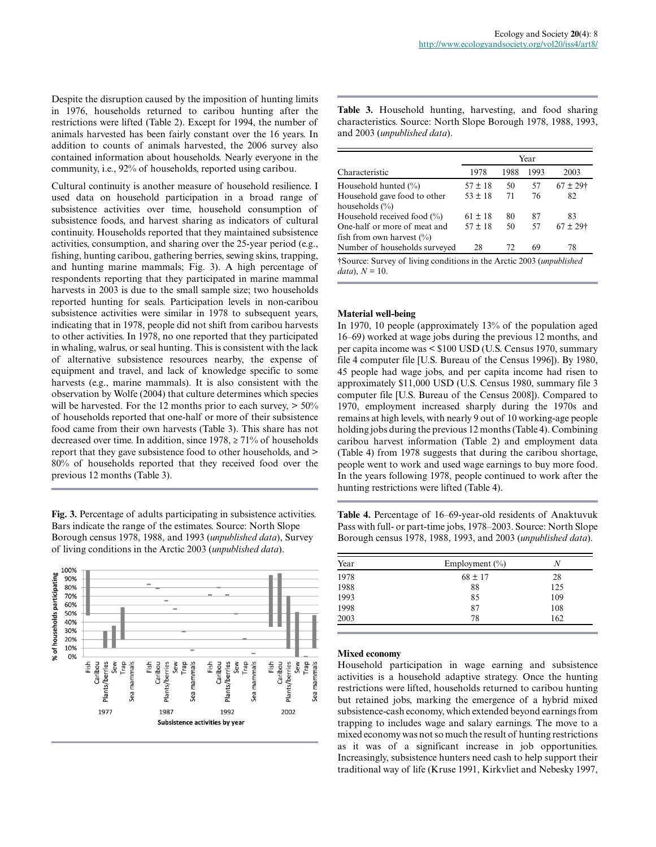Despite the disruption caused by the imposition of hunting limits in 1976, households returned to caribou hunting after the restrictions were lifted (Table 2). Except for 1994, the number of animals harvested has been fairly constant over the 16 years. In addition to counts of animals harvested, the 2006 survey also contained information about households. Nearly everyone in the community, i.e., 92% of households, reported using caribou.

Cultural continuity is another measure of household resilience. I used data on household participation in a broad range of subsistence activities over time, household consumption of subsistence foods, and harvest sharing as indicators of cultural continuity. Households reported that they maintained subsistence activities, consumption, and sharing over the 25-year period (e.g., fishing, hunting caribou, gathering berries, sewing skins, trapping, and hunting marine mammals; Fig. 3). A high percentage of respondents reporting that they participated in marine mammal harvests in 2003 is due to the small sample size; two households reported hunting for seals. Participation levels in non-caribou subsistence activities were similar in 1978 to subsequent years, indicating that in 1978, people did not shift from caribou harvests to other activities. In 1978, no one reported that they participated in whaling, walrus, or seal hunting. This is consistent with the lack of alternative subsistence resources nearby, the expense of equipment and travel, and lack of knowledge specific to some harvests (e.g., marine mammals). It is also consistent with the observation by Wolfe (2004) that culture determines which species will be harvested. For the 12 months prior to each survey,  $> 50\%$ of households reported that one-half or more of their subsistence food came from their own harvests (Table 3). This share has not decreased over time. In addition, since  $1978 \ge 71\%$  of households report that they gave subsistence food to other households, and > 80% of households reported that they received food over the previous 12 months (Table 3).

**Fig. 3.** Percentage of adults participating in subsistence activities. Bars indicate the range of the estimates. Source: North Slope Borough census 1978, 1988, and 1993 (*unpublished data*), Survey of living conditions in the Arctic 2003 (*unpublished data*).



**Table 3.** Household hunting, harvesting, and food sharing characteristics. Source: North Slope Borough 1978, 1988, 1993, and 2003 (*unpublished data*).

|                                                                              | Year        |      |      |               |
|------------------------------------------------------------------------------|-------------|------|------|---------------|
| Characteristic                                                               | 1978        | 1988 | 1993 | 2003          |
| Household hunted $(\%)$                                                      | $57 \pm 18$ | 50   | 57   | $67 \pm 29$ † |
| Household gave food to other<br>households $(\% )$                           | $53 \pm 18$ | 71   | 76   | 82            |
| Household received food $(\% )$                                              | $61 \pm 18$ | 80   | 87   | 83            |
| One-half or more of meat and<br>fish from own harvest $(\% )$                | $57 \pm 18$ | 50   | 57   | $67 \pm 29$ † |
| Number of households surveyed                                                | 28          | 72   | 69   | 78            |
| †Source: Survey of living conditions in the Arctic 2003 ( <i>unpublished</i> |             |      |      |               |

 $data$ ,  $N = 10$ .

# **Material well-being**

In 1970, 10 people (approximately 13% of the population aged 16–69) worked at wage jobs during the previous 12 months, and per capita income was < \$100 USD (U.S. Census 1970, summary file 4 computer file [U.S. Bureau of the Census 1996]). By 1980, 45 people had wage jobs, and per capita income had risen to approximately \$11,000 USD (U.S. Census 1980, summary file 3 computer file [U.S. Bureau of the Census 2008]). Compared to 1970, employment increased sharply during the 1970s and remains at high levels, with nearly 9 out of 10 working-age people holding jobs during the previous 12 months (Table 4). Combining caribou harvest information (Table 2) and employment data (Table 4) from 1978 suggests that during the caribou shortage, people went to work and used wage earnings to buy more food. In the years following 1978, people continued to work after the hunting restrictions were lifted (Table 4).

**Table 4.** Percentage of 16–69-year-old residents of Anaktuvuk Pass with full- or part-time jobs, 1978–2003. Source: North Slope Borough census 1978, 1988, 1993, and 2003 (*unpublished data*).

| Year | Employment $(\% )$ | N   |
|------|--------------------|-----|
| 1978 | $68 \pm 17$        | 28  |
| 1988 | 88                 | 125 |
| 1993 | 85                 | 109 |
| 1998 | 87                 | 108 |
| 2003 | 78                 | 162 |

### **Mixed economy**

Household participation in wage earning and subsistence activities is a household adaptive strategy. Once the hunting restrictions were lifted, households returned to caribou hunting but retained jobs, marking the emergence of a hybrid mixed subsistence-cash economy, which extended beyond earnings from trapping to includes wage and salary earnings. The move to a mixed economy was not so much the result of hunting restrictions as it was of a significant increase in job opportunities. Increasingly, subsistence hunters need cash to help support their traditional way of life (Kruse 1991, Kirkvliet and Nebesky 1997,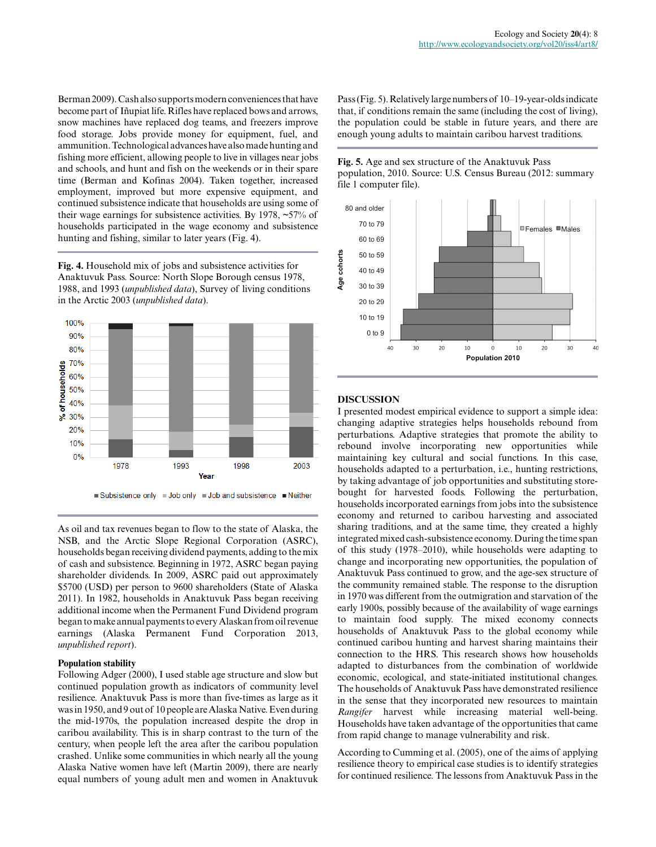Berman 2009). Cash also supports modern conveniences that have become part of Iñupiat life. Rifles have replaced bows and arrows, snow machines have replaced dog teams, and freezers improve food storage. Jobs provide money for equipment, fuel, and ammunition. Technological advances have also made hunting and fishing more efficient, allowing people to live in villages near jobs and schools, and hunt and fish on the weekends or in their spare time (Berman and Kofinas 2004). Taken together, increased employment, improved but more expensive equipment, and continued subsistence indicate that households are using some of their wage earnings for subsistence activities. By 1978, ~57% of households participated in the wage economy and subsistence hunting and fishing, similar to later years (Fig. 4).

**Fig. 4.** Household mix of jobs and subsistence activities for Anaktuvuk Pass. Source: North Slope Borough census 1978, 1988, and 1993 (*unpublished data*), Survey of living conditions in the Arctic 2003 (*unpublished data*).



As oil and tax revenues began to flow to the state of Alaska, the NSB, and the Arctic Slope Regional Corporation (ASRC), households began receiving dividend payments, adding to the mix of cash and subsistence. Beginning in 1972, ASRC began paying shareholder dividends. In 2009, ASRC paid out approximately \$5700 (USD) per person to 9600 shareholders (State of Alaska 2011). In 1982, households in Anaktuvuk Pass began receiving additional income when the Permanent Fund Dividend program began to make annual payments to every Alaskan from oil revenue earnings (Alaska Permanent Fund Corporation 2013, *unpublished report*).

### **Population stability**

Following Adger (2000), I used stable age structure and slow but continued population growth as indicators of community level resilience. Anaktuvuk Pass is more than five-times as large as it was in 1950, and 9 out of 10 people are Alaska Native. Even during the mid-1970s, the population increased despite the drop in caribou availability. This is in sharp contrast to the turn of the century, when people left the area after the caribou population crashed. Unlike some communities in which nearly all the young Alaska Native women have left (Martin 2009), there are nearly equal numbers of young adult men and women in Anaktuvuk

Pass (Fig. 5). Relatively large numbers of 10–19-year-olds indicate that, if conditions remain the same (including the cost of living), the population could be stable in future years, and there are enough young adults to maintain caribou harvest traditions.





# **DISCUSSION**

I presented modest empirical evidence to support a simple idea: changing adaptive strategies helps households rebound from perturbations. Adaptive strategies that promote the ability to rebound involve incorporating new opportunities while maintaining key cultural and social functions. In this case, households adapted to a perturbation, i.e., hunting restrictions, by taking advantage of job opportunities and substituting storebought for harvested foods. Following the perturbation, households incorporated earnings from jobs into the subsistence economy and returned to caribou harvesting and associated sharing traditions, and at the same time, they created a highly integrated mixed cash-subsistence economy. During the time span of this study (1978–2010), while households were adapting to change and incorporating new opportunities, the population of Anaktuvuk Pass continued to grow, and the age-sex structure of the community remained stable. The response to the disruption in 1970 was different from the outmigration and starvation of the early 1900s, possibly because of the availability of wage earnings to maintain food supply. The mixed economy connects households of Anaktuvuk Pass to the global economy while continued caribou hunting and harvest sharing maintains their connection to the HRS. This research shows how households adapted to disturbances from the combination of worldwide economic, ecological, and state-initiated institutional changes. The households of Anaktuvuk Pass have demonstrated resilience in the sense that they incorporated new resources to maintain *Rangifer* harvest while increasing material well-being. Households have taken advantage of the opportunities that came from rapid change to manage vulnerability and risk.

According to Cumming et al. (2005), one of the aims of applying resilience theory to empirical case studies is to identify strategies for continued resilience. The lessons from Anaktuvuk Pass in the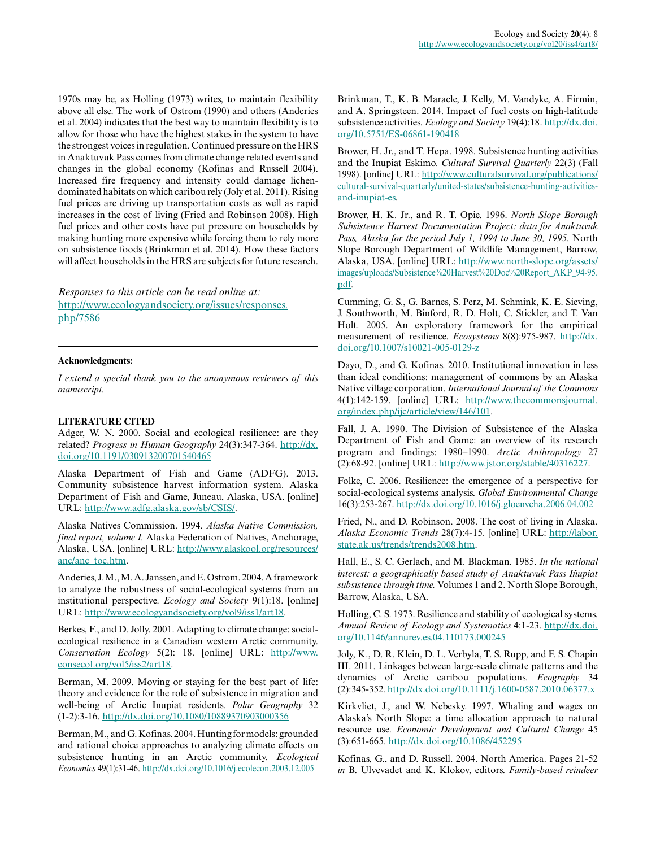1970s may be, as Holling (1973) writes, to maintain flexibility above all else. The work of Ostrom (1990) and others (Anderies et al. 2004) indicates that the best way to maintain flexibility is to allow for those who have the highest stakes in the system to have the strongest voices in regulation. Continued pressure on the HRS in Anaktuvuk Pass comes from climate change related events and changes in the global economy (Kofinas and Russell 2004). Increased fire frequency and intensity could damage lichendominated habitats on which caribou rely (Joly et al. 2011). Rising fuel prices are driving up transportation costs as well as rapid increases in the cost of living (Fried and Robinson 2008). High fuel prices and other costs have put pressure on households by making hunting more expensive while forcing them to rely more on subsistence foods (Brinkman et al. 2014). How these factors will affect households in the HRS are subjects for future research.

*Responses to this article can be read online at:* [http://www.ecologyandsociety.org/issues/responses.](http://www.ecologyandsociety.org/issues/responses.php/7586) [php/7586](http://www.ecologyandsociety.org/issues/responses.php/7586)

### **Acknowledgments:**

*I extend a special thank you to the anonymous reviewers of this manuscript.*

#### **LITERATURE CITED**

Adger, W. N. 2000. Social and ecological resilience: are they related? *Progress in Human Geography* 24(3):347-364. [http://dx.](http://dx.doi.org/10.1191/030913200701540465) [doi.org/10.1191/030913200701540465](http://dx.doi.org/10.1191/030913200701540465)

Alaska Department of Fish and Game (ADFG). 2013. Community subsistence harvest information system. Alaska Department of Fish and Game, Juneau, Alaska, USA. [online] URL:<http://www.adfg.alaska.gov/sb/CSIS/>.

Alaska Natives Commission. 1994. *Alaska Native Commission, final report, volume I.* Alaska Federation of Natives, Anchorage, Alaska, USA. [online] URL: [http://www.alaskool.org/resources/](http://www.alaskool.org/resources/anc/anc_toc.htm) [anc/anc\\_toc.htm.](http://www.alaskool.org/resources/anc/anc_toc.htm)

Anderies, J. M., M. A. Janssen, and E. Ostrom. 2004. A framework to analyze the robustness of social-ecological systems from an institutional perspective. *Ecology and Society* 9(1):18. [online] URL: [http://www.ecologyandsociety.org/vol9/iss1/art18.](http://www.ecologyandsociety.org/vol9/iss1/art18)

Berkes, F., and D. Jolly. 2001. Adapting to climate change: socialecological resilience in a Canadian western Arctic community. *Conservation Ecology* 5(2): 18. [online] URL: [http://www.](http://www.consecol.org/vol5/iss2/art18) [consecol.org/vol5/iss2/art18](http://www.consecol.org/vol5/iss2/art18).

Berman, M. 2009. Moving or staying for the best part of life: theory and evidence for the role of subsistence in migration and well-being of Arctic Inupiat residents. *Polar Geography* 32 (1-2):3-16. <http://dx.doi.org/10.1080/10889370903000356>

Berman, M., and G. Kofinas. 2004. Hunting for models: grounded and rational choice approaches to analyzing climate effects on subsistence hunting in an Arctic community. *Ecological Economics* 49(1):31-46. <http://dx.doi.org/10.1016/j.ecolecon.2003.12.005>

Brinkman, T., K. B. Maracle, J. Kelly, M. Vandyke, A. Firmin, and A. Springsteen. 2014. Impact of fuel costs on high-latitude subsistence activities. *Ecology and Society* 19(4):18. [http://dx.doi.](http://dx.doi.org/10.5751/ES-06861-190418) [org/10.5751/ES-06861-190418](http://dx.doi.org/10.5751/ES-06861-190418) 

Brower, H. Jr., and T. Hepa. 1998. Subsistence hunting activities and the Inupiat Eskimo. *Cultural Survival Quarterly* 22(3) (Fall 1998). [online] URL: [http://www.culturalsurvival.org/publications/](http://www.culturalsurvival.org/publications/cultural-survival-quarterly/united-states/subsistence-hunting-activities-and-inupiat-es) [cultural-survival-quarterly/united-states/subsistence-hunting-activities](http://www.culturalsurvival.org/publications/cultural-survival-quarterly/united-states/subsistence-hunting-activities-and-inupiat-es)[and-inupiat-es.](http://www.culturalsurvival.org/publications/cultural-survival-quarterly/united-states/subsistence-hunting-activities-and-inupiat-es)

Brower, H. K. Jr., and R. T. Opie. 1996. *North Slope Borough Subsistence Harvest Documentation Project: data for Anaktuvuk Pass, Alaska for the period July 1, 1994 to June 30, 1995.* North Slope Borough Department of Wildlife Management, Barrow, Alaska, USA. [online] URL: [http://www.north-slope.org/assets/](http://www.north-slope.org/assets/images/uploads/Subsistence%20Harvest%20Doc%20Report_AKP_94-95.pdf) [images/uploads/Subsistence%20Harvest%20Doc%20Report\\_AKP\\_94-95.](http://www.north-slope.org/assets/images/uploads/Subsistence%20Harvest%20Doc%20Report_AKP_94-95.pdf) [pdf.](http://www.north-slope.org/assets/images/uploads/Subsistence%20Harvest%20Doc%20Report_AKP_94-95.pdf)

Cumming, G. S., G. Barnes, S. Perz, M. Schmink, K. E. Sieving, J. Southworth, M. Binford, R. D. Holt, C. Stickler, and T. Van Holt. 2005. An exploratory framework for the empirical measurement of resilience. *Ecosystems* 8(8):975-987. [http://dx.](http://dx.doi.org/10.1007/s10021-005-0129-z) [doi.org/10.1007/s10021-005-0129-z](http://dx.doi.org/10.1007/s10021-005-0129-z)

Dayo, D., and G. Kofinas. 2010. Institutional innovation in less than ideal conditions: management of commons by an Alaska Native village corporation. *International Journal of the Commons* 4(1):142-159. [online] URL: [http://www.thecommonsjournal.](http://www.thecommonsjournal.org/index.php/ijc/article/view/146/101) [org/index.php/ijc/article/view/146/101.](http://www.thecommonsjournal.org/index.php/ijc/article/view/146/101)

Fall, J. A. 1990. The Division of Subsistence of the Alaska Department of Fish and Game: an overview of its research program and findings: 1980–1990. *Arctic Anthropology* 27 (2):68-92. [online] URL: [http://www.jstor.org/stable/40316227.](http://www.jstor.org/stable/40316227)

Folke, C. 2006. Resilience: the emergence of a perspective for social-ecological systems analysis. *Global Environmental Change* 16(3):253-267.<http://dx.doi.org/10.1016/j.gloenvcha.2006.04.002>

Fried, N., and D. Robinson. 2008. The cost of living in Alaska. *Alaska Economic Trends* 28(7):4-15. [online] URL: [http://labor.](http://labor.state.ak.us/trends/trends2008.htm) [state.ak.us/trends/trends2008.htm](http://labor.state.ak.us/trends/trends2008.htm).

Hall, E., S. C. Gerlach, and M. Blackman. 1985. *In the national interest: a geographically based study of Anaktuvuk Pass Iñupiat subsistence through time.* Volumes 1 and 2. North Slope Borough, Barrow, Alaska, USA.

Holling, C. S. 1973. Resilience and stability of ecological systems. *Annual Review of Ecology and Systematics* 4:1-23. [http://dx.doi.](http://dx.doi.org/10.1146/annurev.es.04.110173.000245) [org/10.1146/annurev.es.04.110173.000245](http://dx.doi.org/10.1146/annurev.es.04.110173.000245) 

Joly, K., D. R. Klein, D. L. Verbyla, T. S. Rupp, and F. S. Chapin III. 2011. Linkages between large-scale climate patterns and the dynamics of Arctic caribou populations. *Ecography* 34 (2):345-352.<http://dx.doi.org/10.1111/j.1600-0587.2010.06377.x>

Kirkvliet, J., and W. Nebesky. 1997. Whaling and wages on Alaska's North Slope: a time allocation approach to natural resource use. *Economic Development and Cultural Change* 45 (3):651-665. <http://dx.doi.org/10.1086/452295>

Kofinas, G., and D. Russell. 2004. North America. Pages 21-52 *in* B. Ulvevadet and K. Klokov, editors. *Family-based reindeer*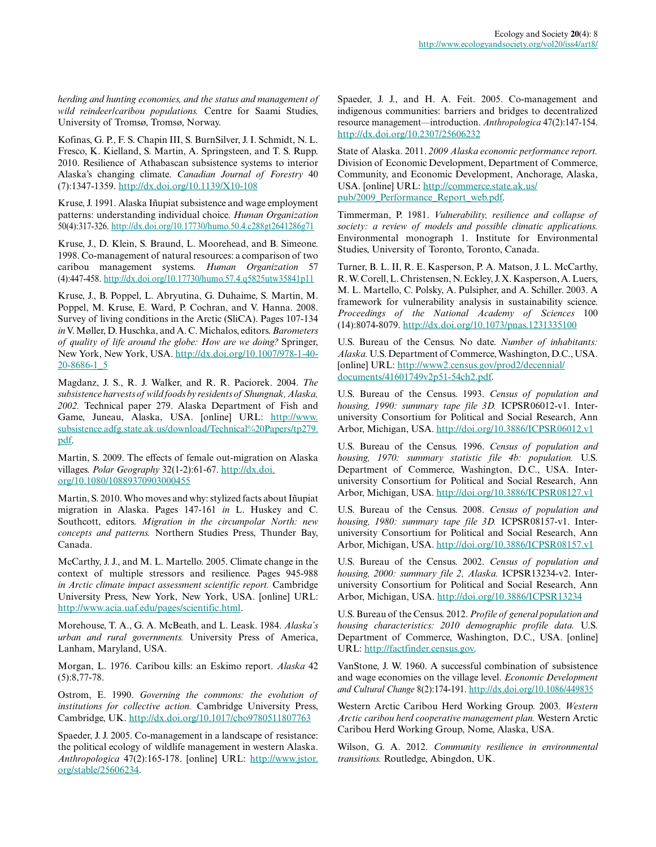*herding and hunting economies, and the status and management of wild reindeer/caribou populations.* Centre for Saami Studies, University of Tromsø, Tromsø, Norway.

Kofinas, G. P., F. S. Chapin III, S. BurnSilver, J. I. Schmidt, N. L. Fresco, K. Kielland, S. Martin, A. Springsteen, and T. S. Rupp. 2010. Resilience of Athabascan subsistence systems to interior Alaska's changing climate. *Canadian Journal of Forestry* 40 (7):1347-1359. <http://dx.doi.org/10.1139/X10-108>

Kruse, J. 1991. Alaska Iñupiat subsistence and wage employment patterns: understanding individual choice. *Human Organization* 50(4):317-326. <http://dx.doi.org/10.17730/humo.50.4.c288gt2641286g71>

Kruse, J., D. Klein, S. Braund, L. Moorehead, and B. Simeone. 1998. Co-management of natural resources: a comparison of two caribou management systems. *Human Organization* 57 (4):447-458. <http://dx.doi.org/10.17730/humo.57.4.q5825utw35841p11>

Kruse, J., B. Poppel, L. Abryutina, G. Duhaime, S. Martin, M. Poppel, M. Kruse, E. Ward, P. Cochran, and V. Hanna. 2008. Survey of living conditions in the Arctic (SliCA). Pages 107-134 *in* V. Møller, D. Huschka, and A. C. Michalos, editors. *Barometers of quality of life around the globe: How are we doing?* Springer, New York, New York, USA. [http://dx.doi.org/10.1007/978-1-40](http://dx.doi.org/10.1007/978-1-4020-8686-1_5) [20-8686-1\\_5](http://dx.doi.org/10.1007/978-1-4020-8686-1_5)

Magdanz, J. S., R. J. Walker, and R. R. Paciorek. 2004. *The subsistence harvests of wild foods by residents of Shungnak, Alaska, 2002.* Technical paper 279. Alaska Department of Fish and Game, Juneau, Alaska, USA. [online] URL: [http://www.](http://www.subsistence.adfg.state.ak.us/download/Technical%20Papers/tp279.pdf) [subsistence.adfg.state.ak.us/download/Technical%20Papers/tp279.](http://www.subsistence.adfg.state.ak.us/download/Technical%20Papers/tp279.pdf) [pdf.](http://www.subsistence.adfg.state.ak.us/download/Technical%20Papers/tp279.pdf)

Martin, S. 2009. The effects of female out-migration on Alaska villages. *Polar Geography* 32(1-2):61-67. [http://dx.doi.](http://dx.doi.org/10.1080/10889370903000455) [org/10.1080/10889370903000455](http://dx.doi.org/10.1080/10889370903000455) 

Martin, S. 2010. Who moves and why: stylized facts about Iñupiat migration in Alaska. Pages 147-161 *in* L. Huskey and C. Southcott, editors. *Migration in the circumpolar North: new concepts and patterns.* Northern Studies Press, Thunder Bay, Canada.

McCarthy, J. J., and M. L. Martello. 2005. Climate change in the context of multiple stressors and resilience. Pages 945-988 *in Arctic climate impact assessment scientific report.* Cambridge University Press, New York, New York, USA. [online] URL: [http://www.acia.uaf.edu/pages/scientific.html.](http://www.acia.uaf.edu/pages/scientific.html)

Morehouse, T. A., G. A. McBeath, and L. Leask. 1984. *Alaska's urban and rural governments.* University Press of America, Lanham, Maryland, USA.

Morgan, L. 1976. Caribou kills: an Eskimo report. *Alaska* 42 (5):8,77-78.

Ostrom, E. 1990. *Governing the commons: the evolution of institutions for collective action.* Cambridge University Press, Cambridge, UK.<http://dx.doi.org/10.1017/cbo9780511807763>

Spaeder, J. J. 2005. Co-management in a landscape of resistance: the political ecology of wildlife management in western Alaska. *Anthropologica* 47(2):165-178. [online] URL: [http://www.jstor.](http://www.jstor.org/stable/25606234) [org/stable/25606234.](http://www.jstor.org/stable/25606234)

Spaeder, J. J., and H. A. Feit. 2005. Co-management and indigenous communities: barriers and bridges to decentralized resource management—introduction. *Anthropologica* 47(2):147-154. <http://dx.doi.org/10.2307/25606232>

State of Alaska. 2011. *2009 Alaska economic performance report.* Division of Economic Development, Department of Commerce, Community, and Economic Development, Anchorage, Alaska, USA. [online] URL: [http://commerce.state.ak.us/](http://commerce.state.ak.us/pub/2009_Performance_Report_web.pdf) [pub/2009\\_Performance\\_Report\\_web.pdf.](http://commerce.state.ak.us/pub/2009_Performance_Report_web.pdf)

Timmerman, P. 1981. *Vulnerability, resilience and collapse of society: a review of models and possible climatic applications.* Environmental monograph 1. Institute for Environmental Studies, University of Toronto, Toronto, Canada.

Turner, B. L. II, R. E. Kasperson, P. A. Matson, J. L. McCarthy, R. W. Corell, L. Christensen, N. Eckley, J. X. Kasperson, A. Luers, M. L. Martello, C. Polsky, A. Pulsipher, and A. Schiller. 2003. A framework for vulnerability analysis in sustainability science. *Proceedings of the National Academy of Sciences* 100 (14):8074-8079.<http://dx.doi.org/10.1073/pnas.1231335100>

U.S. Bureau of the Census. No date. *Number of inhabitants: Alaska.* U.S. Department of Commerce, Washington, D.C., USA. [online] URL: [http://www2.census.gov/prod2/decennial/](http://www2.census.gov/prod2/decennial/documents/41601749v2p51-54ch2.pdf) [documents/41601749v2p51-54ch2.pdf.](http://www2.census.gov/prod2/decennial/documents/41601749v2p51-54ch2.pdf)

U.S. Bureau of the Census. 1993. *Census of population and housing, 1990: summary tape file 3D.* ICPSR06012-v1. Interuniversity Consortium for Political and Social Research, Ann Arbor, Michigan, USA.<http://doi.org/10.3886/ICPSR06012.v1>

U.S. Bureau of the Census. 1996. *Census of population and housing, 1970: summary statistic file 4b: population.* U.S. Department of Commerce, Washington, D.C., USA. Interuniversity Consortium for Political and Social Research, Ann Arbor, Michigan, USA.<http://doi.org/10.3886/ICPSR08127.v1>

U.S. Bureau of the Census. 2008. *Census of population and housing, 1980: summary tape file 3D.* ICPSR08157-v1. Interuniversity Consortium for Political and Social Research, Ann Arbor, Michigan, USA.<http://doi.org/10.3886/ICPSR08157.v1>

U.S. Bureau of the Census. 2002. *Census of population and housing, 2000: summary file 2, Alaska.* ICPSR13234-v2. Interuniversity Consortium for Political and Social Research, Ann Arbor, Michigan, USA.<http://doi.org/10.3886/ICPSR13234>

U.S. Bureau of the Census. 2012. *Profile of general population and housing characteristics: 2010 demographic profile data.* U.S. Department of Commerce, Washington, D.C., USA. [online] URL: [http://factfinder.census.gov.](http://factfinder.census.gov)

VanStone, J. W. 1960. A successful combination of subsistence and wage economies on the village level. *Economic Development and Cultural Change* 8(2):174-191. <http://dx.doi.org/10.1086/449835>

Western Arctic Caribou Herd Working Group. 2003. *Western Arctic caribou herd cooperative management plan.* Western Arctic Caribou Herd Working Group, Nome, Alaska, USA.

Wilson, G. A. 2012. *Community resilience in environmental transitions.* Routledge, Abingdon, UK.